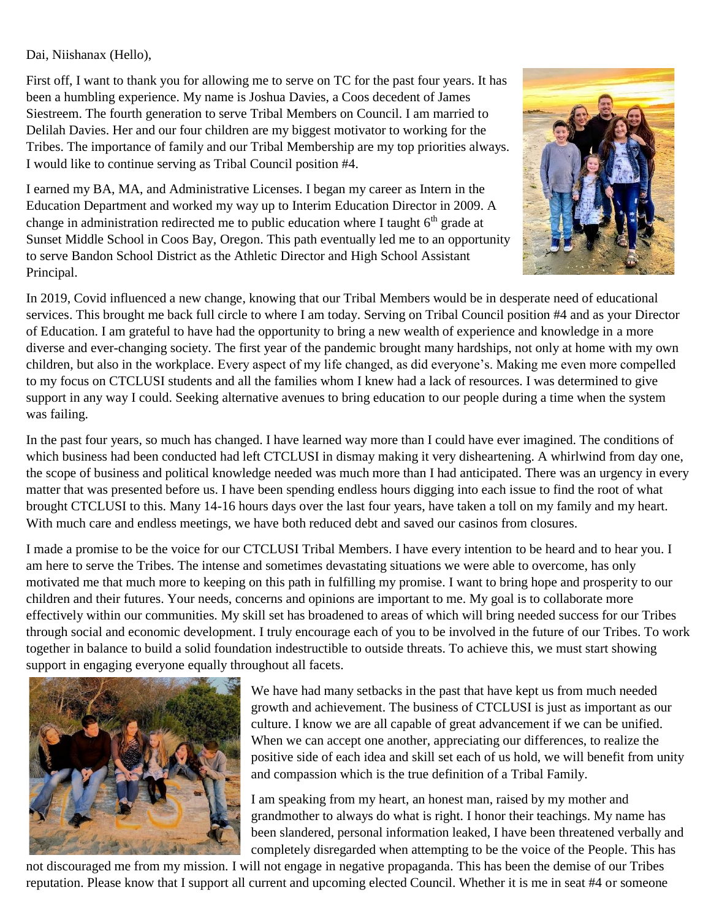Dai, Niishanax (Hello),

First off, I want to thank you for allowing me to serve on TC for the past four years. It has been a humbling experience. My name is Joshua Davies, a Coos decedent of James Siestreem. The fourth generation to serve Tribal Members on Council. I am married to Delilah Davies. Her and our four children are my biggest motivator to working for the Tribes. The importance of family and our Tribal Membership are my top priorities always. I would like to continue serving as Tribal Council position #4.

I earned my BA, MA, and Administrative Licenses. I began my career as Intern in the Education Department and worked my way up to Interim Education Director in 2009. A change in administration redirected me to public education where I taught 6<sup>th</sup> grade at Sunset Middle School in Coos Bay, Oregon. This path eventually led me to an opportunity to serve Bandon School District as the Athletic Director and High School Assistant Principal.



In 2019, Covid influenced a new change, knowing that our Tribal Members would be in desperate need of educational services. This brought me back full circle to where I am today. Serving on Tribal Council position #4 and as your Director of Education. I am grateful to have had the opportunity to bring a new wealth of experience and knowledge in a more diverse and ever-changing society. The first year of the pandemic brought many hardships, not only at home with my own children, but also in the workplace. Every aspect of my life changed, as did everyone's. Making me even more compelled to my focus on CTCLUSI students and all the families whom I knew had a lack of resources. I was determined to give support in any way I could. Seeking alternative avenues to bring education to our people during a time when the system was failing.

In the past four years, so much has changed. I have learned way more than I could have ever imagined. The conditions of which business had been conducted had left CTCLUSI in dismay making it very disheartening. A whirlwind from day one, the scope of business and political knowledge needed was much more than I had anticipated. There was an urgency in every matter that was presented before us. I have been spending endless hours digging into each issue to find the root of what brought CTCLUSI to this. Many 14-16 hours days over the last four years, have taken a toll on my family and my heart. With much care and endless meetings, we have both reduced debt and saved our casinos from closures.

I made a promise to be the voice for our CTCLUSI Tribal Members. I have every intention to be heard and to hear you. I am here to serve the Tribes. The intense and sometimes devastating situations we were able to overcome, has only motivated me that much more to keeping on this path in fulfilling my promise. I want to bring hope and prosperity to our children and their futures. Your needs, concerns and opinions are important to me. My goal is to collaborate more effectively within our communities. My skill set has broadened to areas of which will bring needed success for our Tribes through social and economic development. I truly encourage each of you to be involved in the future of our Tribes. To work together in balance to build a solid foundation indestructible to outside threats. To achieve this, we must start showing support in engaging everyone equally throughout all facets.



We have had many setbacks in the past that have kept us from much needed growth and achievement. The business of CTCLUSI is just as important as our culture. I know we are all capable of great advancement if we can be unified. When we can accept one another, appreciating our differences, to realize the positive side of each idea and skill set each of us hold, we will benefit from unity and compassion which is the true definition of a Tribal Family.

I am speaking from my heart, an honest man, raised by my mother and grandmother to always do what is right. I honor their teachings. My name has been slandered, personal information leaked, I have been threatened verbally and completely disregarded when attempting to be the voice of the People. This has

not discouraged me from my mission. I will not engage in negative propaganda. This has been the demise of our Tribes reputation. Please know that I support all current and upcoming elected Council. Whether it is me in seat #4 or someone